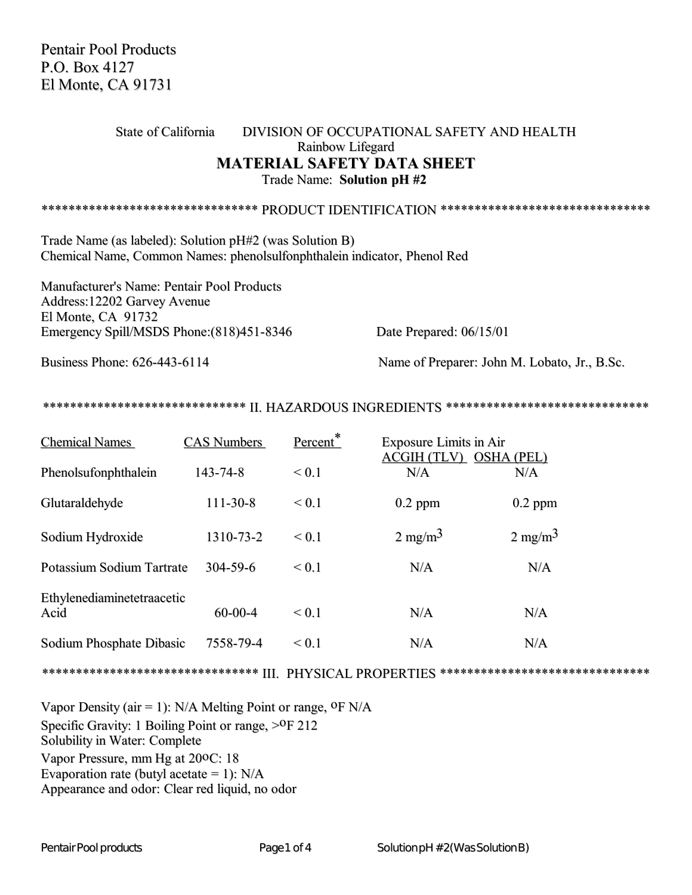Pentair Pool Products P.O. Box 4127 El Monte, CA 91731

## State of California DIVISION OF OCCUPATIONAL SAFETY AND HEALTH Rainbow Lifegard **MATERIAL SAFETY DATA SHEET** Trade Name: **Solution pH #2**

\*\*\*\*\*\*\*\*\*\*\*\*\*\*\*\*\*\*\*\*\*\*\*\*\*\*\*\*\*\* PRODUCT IDENTIFICATION \*\*\*\*\*\*\*\*\*\*\*\*\*\*\*\*\*\*\*\*\*\*\*\*\*\*\*\*\*\*\*

Trade Name (as labeled): Solution pH#2 (was Solution B) Chemical Name, Common Names: phenolsulfonphthalein indicator, Phenol Red

Manufacturer's Name: Pentair Pool Products Address:12202 Garvey Avenue El Monte, CA 91732 Emergency Spill/MSDS Phone: (818)451-8346 Date Prepared: 06/15/01

Business Phone: 626-443-6114 Name of Preparer: John M. Lobato, Jr., B.Sc.

\*\*\*\*\*\*\*\*\*\*\*\*\*\*\*\*\*\*\*\*\*\*\*\*\*\*\*\*\*\*\*\* II. HAZARDOUS INGREDIENTS \*\*\*\*\*\*\*\*\*\*\*\*\*\*\*\*\*\*\*\*\*\*\*\*\*\*\*\*\*

| <b>Chemical Names</b>              | <b>CAS Numbers</b> | Percent*   | <b>Exposure Limits in Air</b><br><b>ACGIH (TLV)</b> | <b>OSHA (PEL)</b>  |
|------------------------------------|--------------------|------------|-----------------------------------------------------|--------------------|
| Phenolsufonphthalein               | 143-74-8           | ${}_{0.1}$ | N/A                                                 | N/A                |
| Glutaraldehyde                     | $111 - 30 - 8$     | < 0.1      | $0.2$ ppm                                           | $0.2$ ppm          |
| Sodium Hydroxide                   | 1310-73-2          | < 0.1      | $2 \text{ mg/m}^3$                                  | $2 \text{ mg/m}^3$ |
| Potassium Sodium Tartrate          | $304 - 59 - 6$     | $\leq 0.1$ | N/A                                                 | N/A                |
| Ethylenediaminetetraacetic<br>Acid | $60 - 00 - 4$      | ${}_{0.1}$ | N/A                                                 | N/A                |
| Sodium Phosphate Dibasic           | 7558-79-4          | ${}_{0.1}$ | N/A                                                 | N/A                |

\*\*\*\*\*\*\*\*\*\*\*\*\*\*\*\*\*\*\*\*\*\*\*\*\*\*\*\*\*\*\*\* III. PHYSICAL PROPERTIES \*\*\*\*\*\*\*\*\*\*\*\*\*\*\*\*\*\*\*\*\*\*\*\*\*\*\*\*\*\*\*

Vapor Density (air = 1): N/A Melting Point or range,  $^{\text{0}}F$  N/A Specific Gravity: 1 Boiling Point or range,  $>0$ F 212 Solubility in Water: Complete Vapor Pressure, mm Hg at 20oC: 18 Evaporation rate (butyl acetate  $= 1$ ): N/A Appearance and odor: Clear red liquid, no odor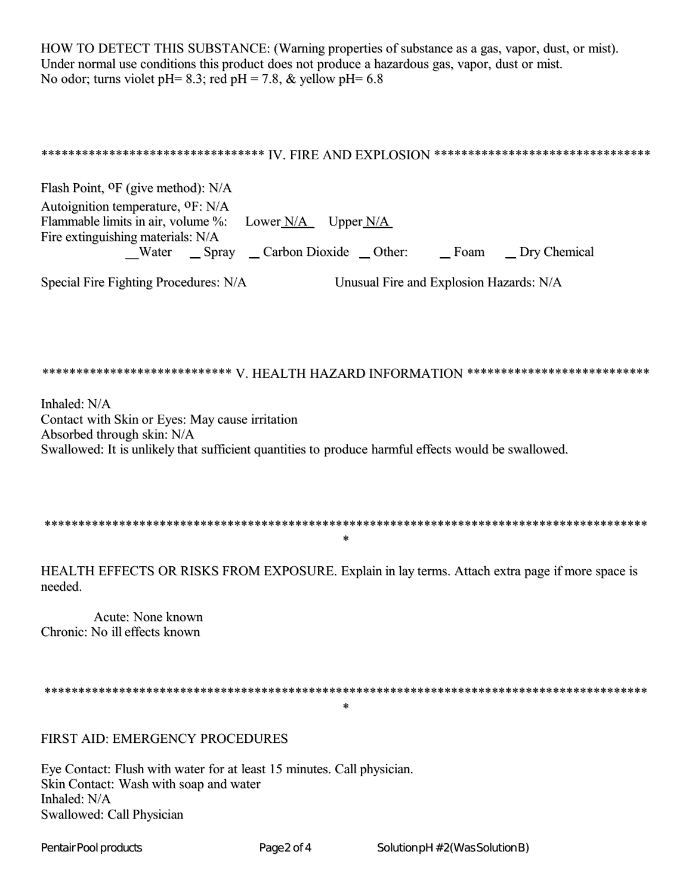HOW TO DETECT THIS SUBSTANCE: (Warning properties of substance as a gas, vapor, dust, or mist). Under normal use conditions this product does not produce a hazardous gas, vapor, dust or mist. No odor; turns violet pH= 8.3; red pH = 7.8, & yellow pH= 6.8

## \*\*\*\*\*\*\*\*\*\*\*\*\*\*\*\*\*\*\*\*\*\*\*\*\*\*\*\*\*\*\*\*\* IV. FIRE AND EXPLOSION \*\*\*\*\*\*\*\*\*\*\*\*\*\*\*\*\*\*\*\*\*\*\*\*\*\*\*\*\*\*\*\*\*

Flash Point, <sup>O</sup>F (give method): N/A Autoignition temperature, <sup>O</sup>F: N/A Flammable limits in air, volume %: Lower  $N/A$  Upper  $N/A$ Fire extinguishing materials: N/A \_Water \_ Spray \_ Carbon Dioxide \_ Other: \_ Foam \_ Dry Chemical

Special Fire Fighting Procedures: N/A

Unusual Fire and Explosion Hazards: N/A

## 

Inhaled: N/A Contact with Skin or Eyes: May cause irritation Absorbed through skin: N/A Swallowed: It is unlikely that sufficient quantities to produce harmful effects would be swallowed.

 $\star$ 

HEALTH EFFECTS OR RISKS FROM EXPOSURE, Explain in lay terms. Attach extra page if more space is needed.

Acute: None known Chronic: No ill effects known

 $\star$ 

FIRST AID: EMERGENCY PROCEDURES

Eye Contact: Flush with water for at least 15 minutes. Call physician. Skin Contact: Wash with soap and water Inhaled: N/A Swallowed: Call Physician

Pentair Pool products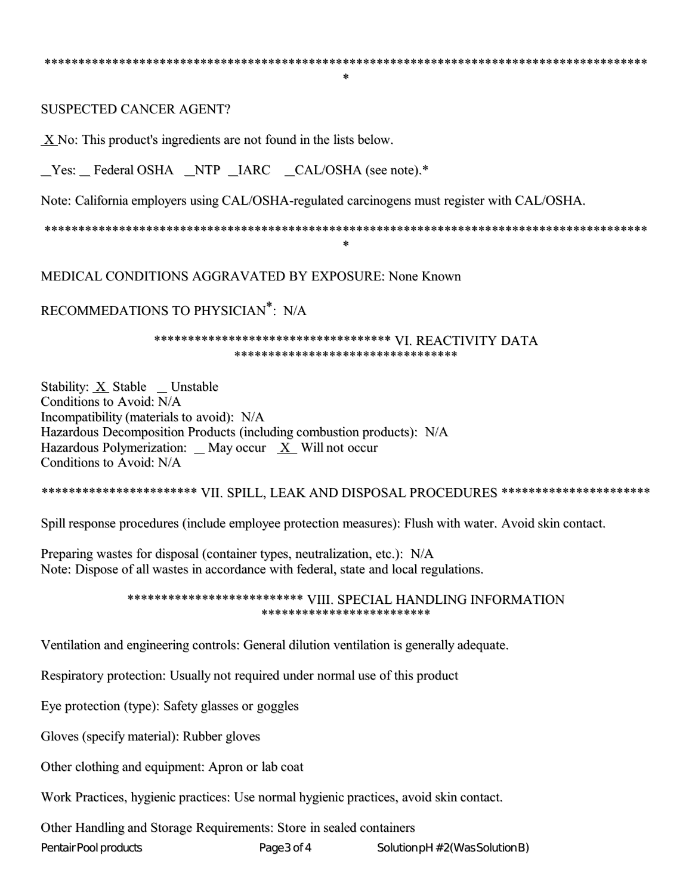$\star$ 

**SUSPECTED CANCER AGENT?** 

X No: This product's ingredients are not found in the lists below.

\_Yes: \_Federal OSHA \_NTP \_IARC \_CAL/OSHA (see note).\*

Note: California employers using CAL/OSHA-regulated carcinogens must register with CAL/OSHA.

 $\star$ 

MEDICAL CONDITIONS AGGRAVATED BY EXPOSURE: None Known

RECOMMEDATIONS TO PHYSICIAN\*: N/A

\*\*\*\*\*\*\*\*\*\*\*\*\*\*\*\*\*\*\*\*\*\*\*\*\*\*\*\*\*\*\*\*\*\*\*\* VI. REACTIVITY DATA \*\*\*\*\*\*\*\*\*\*\*\*\*\*\*\*\*\*\*\*\*\*\*\*\*\*\*\*\*\*\*\*

Stability: X Stable \_Unstable Conditions to Avoid: N/A Incompatibility (materials to avoid): N/A Hazardous Decomposition Products (including combustion products): N/A Hazardous Polymerization: \_ May occur  $X$  Will not occur Conditions to Avoid: N/A

\*\*\*\*\*\*\*\*\*\*\*\*\*\*\*\*\*\*\*\*\*\*\* VII. SPILL, LEAK AND DISPOSAL PROCEDURES \*\*\*\*\*\*\*\*\*\*\*\*\*\*\*\*\*\*\*\*\*\*

Spill response procedures (include employee protection measures): Flush with water. Avoid skin contact.

Preparing wastes for disposal (container types, neutralization, etc.): N/A Note: Dispose of all wastes in accordance with federal, state and local regulations.

> \*\*\*\*\*\*\*\*\*\*\*\*\*\*\*\*\*\*\*\*\*\*\*\*\*\* VIII. SPECIAL HANDLING INFORMATION \*\*\*\*\*\*\*\*\*\*\*\*\*\*\*\*\*\*\*\*\*\*\*\*

Ventilation and engineering controls: General dilution ventilation is generally adequate.

Respiratory protection: Usually not required under normal use of this product

Eye protection (type): Safety glasses or goggles

Gloves (specify material): Rubber gloves

Other clothing and equipment: Apron or lab coat

Work Practices, hygienic practices: Use normal hygienic practices, avoid skin contact.

Page3 of 4

Other Handling and Storage Requirements: Store in sealed containers

Pentair Pool products

Solution pH #2(Was Solution B)